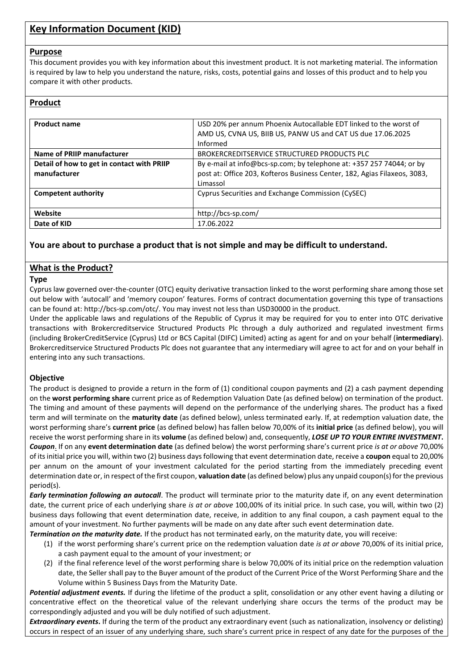# **Key Information Document (KID)**

## **Purpose**

This document provides you with key information about this investment product. It is not marketing material. The information is required by law to help you understand the nature, risks, costs, potential gains and losses of this product and to help you compare it with other products.

# **Product**

| <b>Product name</b>                                        | USD 20% per annum Phoenix Autocallable EDT linked to the worst of<br>AMD US, CVNA US, BIIB US, PANW US and CAT US due 17.06.2025<br>Informed                  |
|------------------------------------------------------------|---------------------------------------------------------------------------------------------------------------------------------------------------------------|
| Name of PRIIP manufacturer                                 | BROKERCREDITSERVICE STRUCTURED PRODUCTS PLC                                                                                                                   |
| Detail of how to get in contact with PRIIP<br>manufacturer | By e-mail at info@bcs-sp.com; by telephone at: +357 257 74044; or by<br>post at: Office 203, Kofteros Business Center, 182, Agias Filaxeos, 3083,<br>Limassol |
| Competent authority                                        | Cyprus Securities and Exchange Commission (CySEC)                                                                                                             |
| Website                                                    | http://bcs-sp.com/                                                                                                                                            |
| Date of KID                                                | 17.06.2022                                                                                                                                                    |

# **You are about to purchase a product that is not simple and may be difficult to understand.**

# **What is the Product?**

## **Type**

Cyprus law governed over-the-counter (OTC) equity derivative transaction linked to the worst performing share among those set out below with 'autocall' and 'memory coupon' features. Forms of contract documentation governing this type of transactions can be found at: http://bcs-sp.com/otc/. You may invest not less than USD30000 in the product.

Under the applicable laws and regulations of the Republic of Cyprus it may be required for you to enter into OTC derivative transactions with Brokercreditservice Structured Products Plc through a duly authorized and regulated investment firms (including BrokerCreditService (Cyprus) Ltd or BCS Capital (DIFC) Limited) acting as agent for and on your behalf (**intermediary**). Brokercreditservice Structured Products Plc does not guarantee that any intermediary will agree to act for and on your behalf in entering into any such transactions.

## **Objective**

The product is designed to provide a return in the form of (1) conditional coupon payments and (2) a cash payment depending on the **worst performing share** current price as of Redemption Valuation Date (as defined below) on termination of the product. The timing and amount of these payments will depend on the performance of the underlying shares. The product has a fixed term and will terminate on the **maturity date** (as defined below), unless terminated early. If, at redemption valuation date, the worst performing share's **current price** (as defined below) has fallen below 70,00% of its **initial price** (as defined below), you will receive the worst performing share in its **volume** (as defined below) and, consequently, *LOSE UP TO YOUR ENTIRE INVESTMENT***.** *Coupon*. If on any **event determination date** (as defined below) the worst performing share's current price *is at or above* 70,00% of its initial price you will, within two (2) business days following that event determination date, receive a **coupon** equal to 20,00% per annum on the amount of your investment calculated for the period starting from the immediately preceding event determination date or, in respect of the first coupon, **valuation date** (as defined below) plus any unpaid coupon(s) for the previous period(s).

*Early termination following an autocall*. The product will terminate prior to the maturity date if, on any event determination date, the current price of each underlying share *is at or above* 100,00% of its initial price. In such case, you will, within two (2) business days following that event determination date, receive, in addition to any final coupon, a cash payment equal to the amount of your investment. No further payments will be made on any date after such event determination date.

*Termination on the maturity date.* If the product has not terminated early, on the maturity date, you will receive:

- (1) if the worst performing share's current price on the redemption valuation date *is at or above* 70,00% of its initial price, a cash payment equal to the amount of your investment; or
- (2) if the final reference level of the worst performing share is below 70,00% of its initial price on the redemption valuation date, the Seller shall pay to the Buyer amount of the product of the Current Price of the Worst Performing Share and the Volume within 5 Business Days from the Maturity Date.

*Potential adjustment events.* If during the lifetime of the product a split, consolidation or any other event having a diluting or concentrative effect on the theoretical value of the relevant underlying share occurs the terms of the product may be correspondingly adjusted and you will be duly notified of such adjustment.

*Extraordinary events***.** If during the term of the product any extraordinary event (such as nationalization, insolvency or delisting) occurs in respect of an issuer of any underlying share, such share's current price in respect of any date for the purposes of the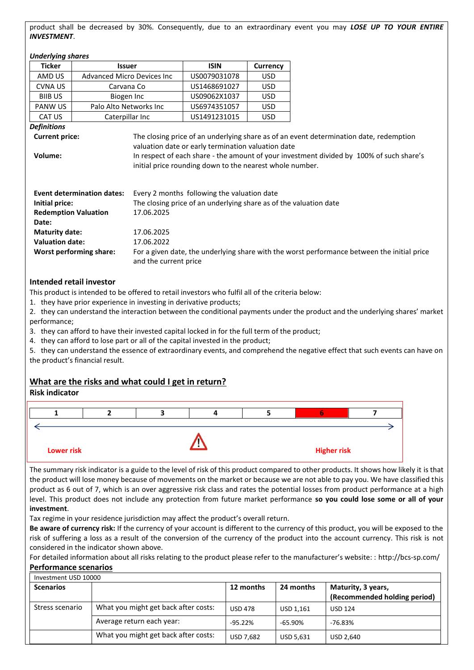product shall be decreased by 30%. Consequently, due to an extraordinary event you may *LOSE UP TO YOUR ENTIRE INVESTMENT*.

| Underlying shares                         |                                   |                                                                   |                                                                                          |            |                                                                                             |  |
|-------------------------------------------|-----------------------------------|-------------------------------------------------------------------|------------------------------------------------------------------------------------------|------------|---------------------------------------------------------------------------------------------|--|
| <b>Ticker</b>                             | <b>Issuer</b>                     |                                                                   | <b>ISIN</b>                                                                              | Currency   |                                                                                             |  |
| AMD US                                    | <b>Advanced Micro Devices Inc</b> |                                                                   | US0079031078                                                                             | USD        |                                                                                             |  |
| <b>CVNAUS</b>                             | Carvana Co                        |                                                                   | US1468691027                                                                             | USD        |                                                                                             |  |
| <b>BIIB US</b>                            | Biogen Inc                        |                                                                   | US09062X1037                                                                             | USD        |                                                                                             |  |
| <b>PANW US</b>                            | Palo Alto Networks Inc.           |                                                                   | US6974351057                                                                             | <b>USD</b> |                                                                                             |  |
| CAT US                                    | Caterpillar Inc                   |                                                                   | US1491231015                                                                             | <b>USD</b> |                                                                                             |  |
| <b>Definitions</b>                        |                                   |                                                                   |                                                                                          |            |                                                                                             |  |
| <b>Current price:</b>                     |                                   |                                                                   |                                                                                          |            | The closing price of an underlying share as of an event determination date, redemption      |  |
|                                           |                                   |                                                                   | valuation date or early termination valuation date                                       |            |                                                                                             |  |
| Volume:                                   |                                   |                                                                   | In respect of each share - the amount of your investment divided by 100% of such share's |            |                                                                                             |  |
|                                           |                                   |                                                                   | initial price rounding down to the nearest whole number.                                 |            |                                                                                             |  |
|                                           |                                   |                                                                   |                                                                                          |            |                                                                                             |  |
|                                           | <b>Event determination dates:</b> |                                                                   | Every 2 months following the valuation date                                              |            |                                                                                             |  |
| Initial price:                            |                                   | The closing price of an underlying share as of the valuation date |                                                                                          |            |                                                                                             |  |
| <b>Redemption Valuation</b><br>17.06.2025 |                                   |                                                                   |                                                                                          |            |                                                                                             |  |
| Date:                                     |                                   |                                                                   |                                                                                          |            |                                                                                             |  |
| <b>Maturity date:</b><br>17.06.2025       |                                   |                                                                   |                                                                                          |            |                                                                                             |  |
| <b>Valuation date:</b><br>17.06.2022      |                                   |                                                                   |                                                                                          |            |                                                                                             |  |
|                                           | Worst performing share:           | and the current price                                             |                                                                                          |            | For a given date, the underlying share with the worst performance between the initial price |  |
|                                           |                                   |                                                                   |                                                                                          |            |                                                                                             |  |

## **Intended retail investor**

This product is intended to be offered to retail investors who fulfil all of the criteria below:

1. they have prior experience in investing in derivative products;

2. they can understand the interaction between the conditional payments under the product and the underlying shares' market performance;

3. they can afford to have their invested capital locked in for the full term of the product;

4. they can afford to lose part or all of the capital invested in the product;

5. they can understand the essence of extraordinary events, and comprehend the negative effect that such events can have on the product's financial result.

## **What are the risks and what could I get in return?**

#### **Risk indicator**



The summary risk indicator is a guide to the level of risk of this product compared to other products. It shows how likely it is that the product will lose money because of movements on the market or because we are not able to pay you. We have classified this product as 6 out of 7, which is an over aggressive risk class and rates the potential losses from product performance at a high level. This product does not include any protection from future market performance **so you could lose some or all of your investment**.

Tax regime in your residence jurisdiction may affect the product's overall return.

**Be aware of currency risk:** If the currency of your account is different to the currency of this product, you will be exposed to the risk of suffering a loss as a result of the conversion of the currency of the product into the account currency. This risk is not considered in the indicator shown above.

For detailed information about all risks relating to the product please refer to the manufacturer's website: : http://bcs-sp.com/ **Performance scenarios**

| Investment USD 10000 |                                      |                |                  |                                                    |
|----------------------|--------------------------------------|----------------|------------------|----------------------------------------------------|
| <b>Scenarios</b>     |                                      | 12 months      | 24 months        | Maturity, 3 years,<br>(Recommended holding period) |
| Stress scenario      | What you might get back after costs: | <b>USD 478</b> | USD 1.161        | <b>USD 124</b>                                     |
|                      | Average return each year:            | $-95.22\%$     | -65.90%          | -76.83%                                            |
|                      | What you might get back after costs: | USD 7,682      | <b>USD 5,631</b> | USD 2,640                                          |